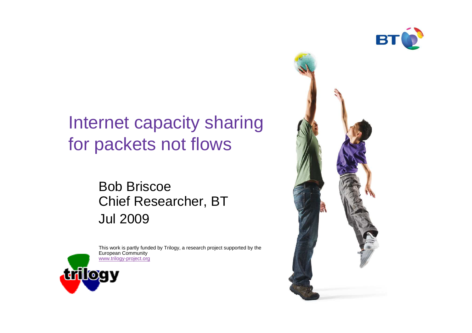

## Internet capacity sharingfor packets not flows

#### Bob Briscoe Chief Researcher, BTJul 2009



This work is partly funded by Trilogy, a research project supported by the European Communitywww.trilogy-project.org

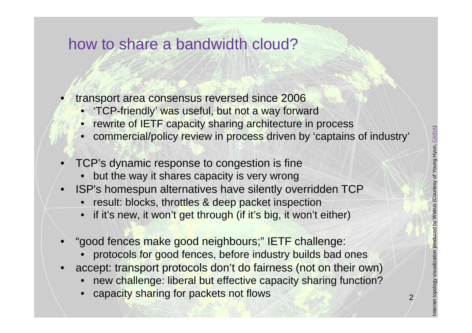2

#### how to share a bandwidth cloud?

- • transport area consensus reversed since 2006
	- 'TCP-friendly' was useful, but not a way forward
	- **rewrite of IETF capacity sharing architecture in process**
	- commercial/policy review in process driven by 'captains of industry'
- • TCP's dynamic response to congestion is fine
	- but the way it shares capacity is very wrong•
- ISP's homespun alternatives have silently overridden TCP•
	- result: blocks, throttles & deep packet inspection
	- if it's new, it won't get through (if it's big, it won't either)•
- • "good fences make good neighbours;" IETF challenge:
	- •protocols for good fences, before industry builds bad ones
- accept: transport protocols don't do fairness (not on their own)•
	- new challenge: liberal but effective capacity sharing function?•
	- capacity sharing for packets not flows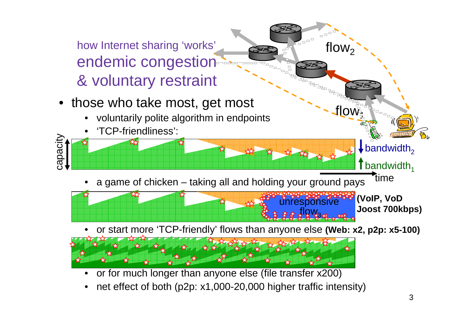

•net effect of both (p2p: x1,000-20,000 higher traffic intensity)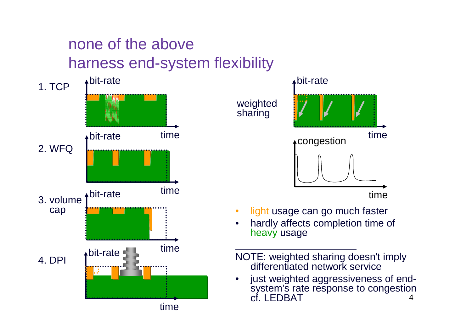## none of the aboveharness end-system flexibility





 hardly affects completion time of •heavy usage

•

- NOTE: weighted sharing doesn't imply differentiated network service
- 4 just weighted aggressiveness of end-•system's rate response to congestion cf. LEDBAT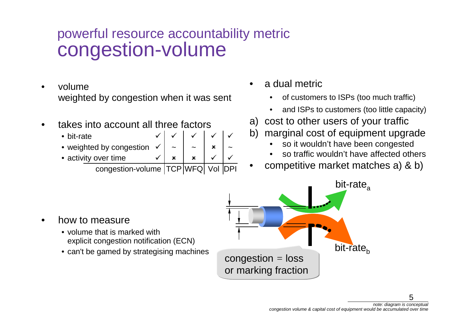### powerful resource accountability metric congestion-volume

- • volume weighted by congestion when it was sent
- • takes into account all three factors
	- bit-rate
	- weighted by congestion
	- activity over time✓  $\mathbf x$  $\boldsymbol{\mathsf{x}}$

 congestion-volume TCP WFQ Vol DPI **IDPI** 

~

✓

~

✓

✓

 $\pmb{\times}$ 

 $\checkmark$ 

✓

~

 $\checkmark$ 

 $\checkmark$ ✓

- • a dual metric
	- •of customers to ISPs (too much traffic)
	- •and ISPs to customers (too little capacity)
- a) cost to other users of your traffic
- b) marginal cost of equipment upgrade
	- •so it wouldn't have been congested
	- so traffic wouldn't have affected others•
- competitive market matches a) & b)•



- volume that is marked with explicit congestion notification (ECN)
- can't be gamed by strategising machines

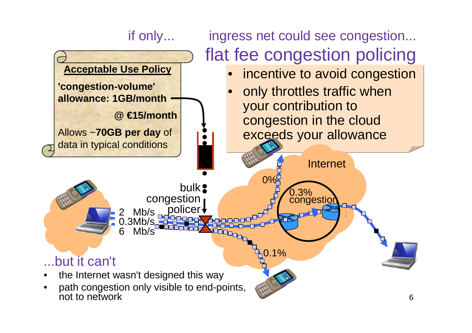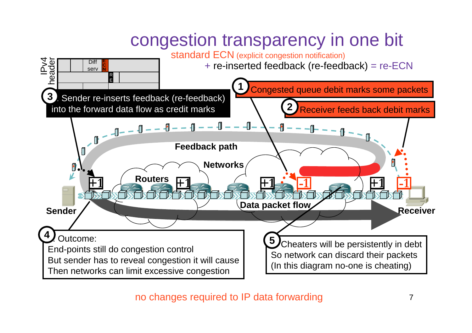# congestion transparency in one bit



no changes required to IP data forwarding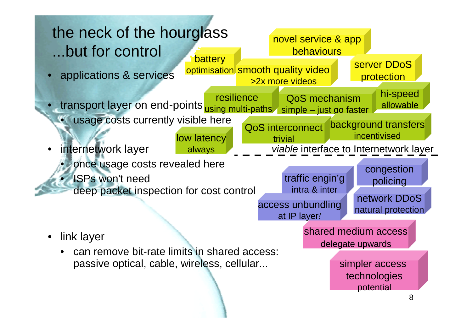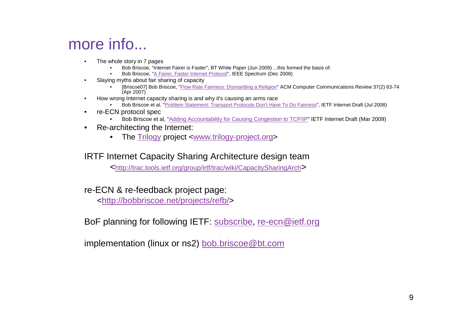### more info...

- • The whole story in 7 pages
	- Bob Briscoe, "Internet Fairer is Faster", BT White Paper (Jun 2009) ...this formed the basis of: •
	- •Bob Briscoe, "A Fairer, Faster Internet Protocol", IEEE Spectrum (Dec 2008)
- • Slaying myths about fair sharing of capacity
	- [Briscoe07] Bob Briscoe, "*Flow Rate Fairness: Dismantling a Religion*" ACM Computer Communications Review 37(2) 63-74 •(Apr 2007)
- How wrong Internet capacity sharing is and why it's causing an arms race•
	- Bob Briscoe et al, "Problem Statement: Transport Protocols Don't Have To Do Fairness", IETF Internet Draft (Jul 2008)•
- • re-ECN protocol spec
	- Bob Briscoe et al, "Adding Accountability for Causing Congestion to TCP/IP" IETF Internet Draft (Mar 2009)•
- • Re-architecting the Internet:
	- The Trilogy project <www.trilogy-project.org>

#### IRTF Internet Capacity Sharing Architecture design team

<http://trac.tools.ietf.org/group/irtf/trac/wiki/CapacitySharingArch>

#### re-ECN & re-feedback project page:

<http://bobbriscoe.net/projects/refb/>

BoF planning for following IETF: subscribe, re-ecn@ietf.org

implementation (linux or ns2) bob.briscoe@bt.com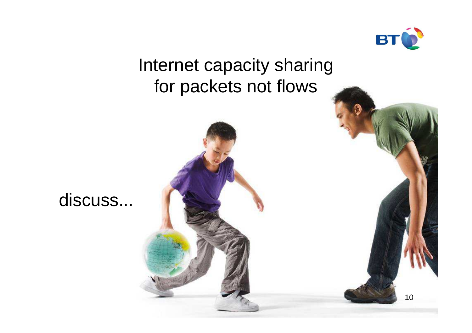

## Internet capacity sharingfor packets not flows



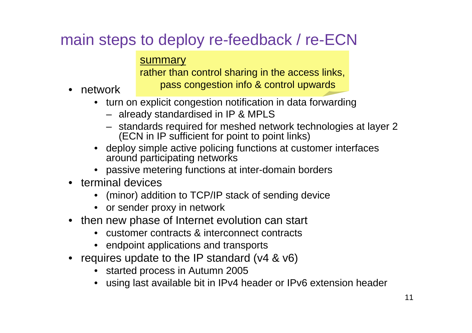## main steps to deploy re-feedback / re-ECN

#### summary

 rather than control sharing in the access links,pass congestion info & control upwards

- network
	- turn on explicit congestion notification in data forwarding
		- already standardised in IP & MPLS
		- standards required for meshed network technologies at layer 2 (ECN in IP sufficient for point to point links)
	- deploy simple active policing functions at customer interfaces around participating networks
	- passive metering functions at inter-domain borders
- terminal devices
	- (minor) addition to TCP/IP stack of sending device•
	- or sender proxy in network
- then new phase of Internet evolution can start
	- •customer contracts & interconnect contracts
	- endpoint applications and transports
- requires update to the IP standard (v4 & v6)
	- started process in Autumn 2005
	- using last available bit in IPv4 header or IPv6 extension header•